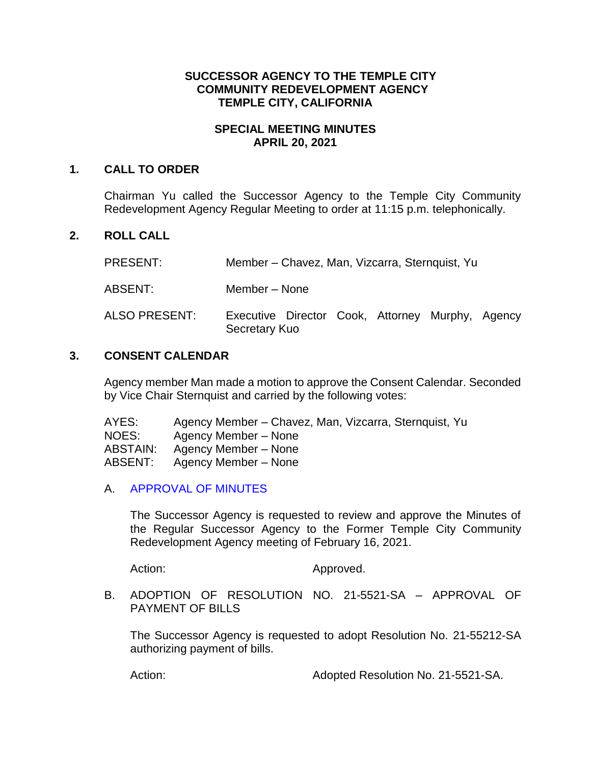# **SUCCESSOR AGENCY TO THE TEMPLE CITY COMMUNITY REDEVELOPMENT AGENCY TEMPLE CITY, CALIFORNIA**

### **SPECIAL MEETING MINUTES APRIL 20, 2021**

#### **1. CALL TO ORDER**

Chairman Yu called the Successor Agency to the Temple City Community Redevelopment Agency Regular Meeting to order at 11:15 p.m. telephonically.

# **2. ROLL CALL**

PRESENT: Member – Chavez, Man, Vizcarra, Sternquist, Yu

ABSENT: Member – None

ALSO PRESENT: Executive Director Cook, Attorney Murphy, Agency Secretary Kuo

#### **3. CONSENT CALENDAR**

Agency member Man made a motion to approve the Consent Calendar. Seconded by Vice Chair Sternquist and carried by the following votes:

| AYES:    | Agency Member – Chavez, Man, Vizcarra, Sternquist, Yu |
|----------|-------------------------------------------------------|
| NOES:    | Agency Member – None                                  |
| ABSTAIN: | Agency Member – None                                  |
| ABSENT:  | Agency Member – None                                  |

# A. APPROVAL OF MINUTES

The Successor Agency is requested to review and approve the Minutes of the Regular Successor Agency to the Former Temple City Community Redevelopment Agency meeting of February 16, 2021.

Action: Approved.

B. ADOPTION OF RESOLUTION NO. 21-5521-SA – APPROVAL OF PAYMENT OF BILLS

The Successor Agency is requested to adopt Resolution No. 21-55212-SA authorizing payment of bills.

Action: Adopted Resolution No. 21-5521-SA.